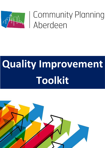

# The Community Planning<br>Aberdeen

## **Quality Improvement Toolkit**

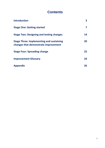#### **Contents**

| <b>Introduction</b>                                                                     | З                 |
|-----------------------------------------------------------------------------------------|-------------------|
| <b>Stage One: Getting started</b>                                                       |                   |
| <b>Stage Two: Designing and testing changes</b>                                         | 14                |
| <b>Stage Three: Implementing and sustaining</b><br>changes that demonstrate improvement | 20                |
| <b>Stage Four: Spreading change</b>                                                     | $22 \overline{)}$ |
| <b>Improvement Glossary</b>                                                             | 24                |
| <b>Appendix</b>                                                                         | 26                |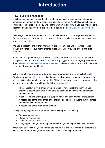### **Introduction**

#### **How to use this handbook**

This handbook provides a step-by-step guide for planning, testing, implementing and spreading an improvement project using Quality Improvement (QI) tools and techniques. This guide is intended to help you understand what QI is and how to use this knowledge to get started on an improvement project to help deliver the [Local Outcome Improvement](https://communityplanningaberdeen.org.uk/wp-content/uploads/2021/07/Final-LOIP-2016-26-Refreshed-July-21.pdf)  [Plan.](https://communityplanningaberdeen.org.uk/wp-content/uploads/2021/07/Final-LOIP-2016-26-Refreshed-July-21.pdf)

Each stage outlines the approach you should take and the output that you should aim for. Once the stage is completed, you can move to the next until the improvement project has reached its overall aim.

We also signpost you to further information, tools, techniques and resources. These include templates for your improvement project, YouTube links, help sheets and online resources.

In the spirit of improvement, we are keen to seek your feedback and are curious about how you have used this handbook. If you have any suggestions or changes, please send them to [communityplanning@aberdeencity.gov.uk.](mailto:communityplanning@aberdeencity.gov.uk) Please also let us know which aspects of the handbook you found helpful.

#### **Why would you use a quality improvement approach and what is it?**

Quality improvement (QI) can be defined as the application of a systematic approach that uses specific techniques to improve quality. Although there are a range of approaches that fit under this umbrella, they all have the following in common:

- The concept of a cycle of improvement which involves problem definition and diagnosis, testing of change ideas, data collection and analysis, implementation and evaluation;
- A set of tools and techniques that support individuals to implement improvement;
- A recognition of the importance of engaging stakeholders, including our customers and community members; and
- A recognition of the importance of culture.

QI helps bring a systematic approach to tackling complex problems by:

- Focussing on outcomes;
- Flattening hierarchies;
- Giving everyone a voice; and
- Bringing people together to improve and redesign the way services are delivered.

When done successfully, QI can change the culture of a system, whether the system is a single team, a department, an organisation or a multi-agency partnership.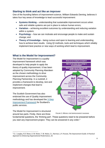#### **Starting to think and act like an improver**

One of the founding fathers of improvement science, William Edwards Deming, believes it takes four key areas of knowledge to lead successful improvement:

- **Systems thinking**  understanding that sustainable improvement occurs when safe and reliable systems are put in place to reduce human errors;
- **Variation** achieving excellent outcomes by understanding and reducing variation within a system;
- **Psychology** how we can motivate and encourage people to make and sustain change; and
- **Theory of Knowledge** being curious and open to learning and understanding how to achieve best results. Using QI methods, tools and techniques which reliably implement best practice or new ways of working which lead to improvement.

#### **What is the Model for Improvement?**

The Model for Improvement is a quality improvement framework which was developed to help people to apply the theory of quality improvement. It has been adopted by Community Planning Aberdeen as the chosen methodology to drive improvement across the Community Planning Partnership. In a nutshell, it provides a framework to develop, test and implement changes that lead to improvement.

The Scottish Government has also endorsed the use of Quality Improvement methodology and has developed the [3-Step](http://www.gov.scot/Resource/0042/00426552.pdf)  [Improvement Framework](http://www.gov.scot/Resource/0042/00426552.pdf) for Scotland's public services.

The Model for Improvement is structured around two parts. Firstly, there are three



**FIGURE 1: MODEL FOR IMPROVEMENT DIAGRAM**

fundamental questions, the 'thinking part'. These questions need to be answered before you start any improvement project. They can be answered in any order. 1

<sup>1</sup> G. J. Langley, R.D. Moen, K. M. Nolan, T. W. Nolan, C.L. Norman, L.P. Provost, *The Improvement Guide: A Practical Approach to Enhancing Organizational Performance*, 24.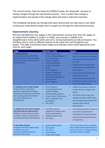The second section, Plan-Do-Study-Act (PDSA) Cycles, the 'doing part', focuses on testing changes through the improvement journey - from a small-scale change to implementation and spread of the change ideas that lead to improved outcomes.

This handbook will guide you through both parts and provide you with tools to use whilst running your improvement project and to support you through the improvement journey.

#### **Improvement Journey**

We have identified four key stages in this Improvement Journey they show the stages of an improvement initiative or project. In reality, your journey is unlikely to be straightforward, there will be twists and turns, moving backwards as well as forwards. You will likely need to work on different aspects at the same time and throughout your project. This table summarises these stages and indicates some useful approaches and tools for each stage.

| <b>Stage</b>                                                                                                                                                                                                               | <b>Methods / Tools</b>                                                                                                                                                                                                                                                                                                                                                                                                                                                    | <b>Output</b>                                                                                                                                                                                                                                                                                                                                                                            |
|----------------------------------------------------------------------------------------------------------------------------------------------------------------------------------------------------------------------------|---------------------------------------------------------------------------------------------------------------------------------------------------------------------------------------------------------------------------------------------------------------------------------------------------------------------------------------------------------------------------------------------------------------------------------------------------------------------------|------------------------------------------------------------------------------------------------------------------------------------------------------------------------------------------------------------------------------------------------------------------------------------------------------------------------------------------------------------------------------------------|
| 1. Getting Started<br>Project area has been identified.<br>The improvement team has begun<br>to form, and the current system is<br>being analysed.                                                                         | <b>Root Cause Analysis:</b><br>$\bullet$<br>5 whys, fishbone diagram,<br>force field analysis<br><b>Process mapping</b><br>$\bullet$<br><b>Understanding data</b><br>$\bullet$<br><b>Customer feedback</b><br>$\bullet$<br><b>Audits</b><br>$\bullet$<br><b>Driver Diagrams</b><br>$\bullet$<br>Project management<br>$\bullet$<br><b>Communication and</b><br>$\bullet$<br>stakeholder engagement<br>Project charter<br>$\bullet$<br><b>Driver diagrams</b><br>$\bullet$ | Establish a team around a shared<br>aim for improvement that aligns<br>with objectives and outcomes in<br>the LOIP<br>Understand the systems and<br>$\bullet$<br>processes which contribute to<br>the outcome.<br>Understand what needs to be<br>$\bullet$<br>improved and what<br>improvement would look like.<br>Develop the Improvement Aim<br>$\bullet$<br>and Draft Project Charter |
| 2. Designing and testing changes<br>Project charter is approved,<br>specific change ideas have been<br>developed and testing is underway.<br>Data is being gathered and there<br>are initial indications of<br>improvement | Driver diagrams<br>$\bullet$<br>Generating ideas and<br>$\bullet$<br>creative thinking<br><b>Understanding variation</b><br>$\bullet$<br>Project charter PDSA cycles<br>$\bullet$<br>Data - qualitative and<br>$\bullet$<br>quantitative<br><b>Run charts</b><br>$\bullet$                                                                                                                                                                                                | Update your project charter to<br>$\bullet$<br>include specific changes to be<br>tested.<br>Use PDSA cycles to test your<br>$\bullet$<br>changes and learn. PDSA cycles<br>and associated data identify the<br>changes which lead to<br>improvement.                                                                                                                                     |
| 3. Implement and sustain changes<br>that demonstrate improvement<br>Evidence of improvements shown<br>in project measures. Spread plans<br>are being developed and deployed.                                               | Use PDSA cycles to<br>$\bullet$<br>implement changes which<br>lead to improvement<br><b>Implementation Plans</b><br>$\bullet$<br><b>Run charts</b><br>$\bullet$                                                                                                                                                                                                                                                                                                           | Formalised procedure in place to<br>$\bullet$<br>ensure the improvement is<br>embedded into routine practice<br>and sustained with governance<br>arrangements.                                                                                                                                                                                                                           |
| 4. Spreading changes<br>Changes have been implemented<br>as business as usual.<br>Learning is being shared and<br>spread to other areas.                                                                                   | Implementation plan<br>$\bullet$<br>Spread plan<br>$\bullet$<br><b>Run charts</b><br>$\bullet$<br>Sustainability<br>$\bullet$<br>Large-scale change<br>$\bullet$                                                                                                                                                                                                                                                                                                          | The aim has been met or exceeded<br>with changes being implemented as<br>business as usual. Learning is being<br>spread for others to adopt.                                                                                                                                                                                                                                             |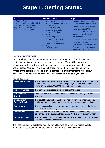## **Stage 1: Getting Started**

| <b>Stage</b>                                                                                                                                       | <b>Methods / Tools</b>                                                                                                                                                                                                                                                                                                                                                                                                                                                    | Output                                                                                                                                                                                                                                                                                                                                                                                                |
|----------------------------------------------------------------------------------------------------------------------------------------------------|---------------------------------------------------------------------------------------------------------------------------------------------------------------------------------------------------------------------------------------------------------------------------------------------------------------------------------------------------------------------------------------------------------------------------------------------------------------------------|-------------------------------------------------------------------------------------------------------------------------------------------------------------------------------------------------------------------------------------------------------------------------------------------------------------------------------------------------------------------------------------------------------|
| 1. Getting Started<br>Project area has been identified.<br>The improvement team has<br>begun to form, and the current<br>system is being analysed. | <b>Root Cause Analysis:</b><br>$\bullet$<br>5 whys, fishbone diagram,<br>force field analysis<br>Process mapping<br>$\bullet$<br><b>Understanding data</b><br>$\bullet$<br><b>Customer feedback</b><br>$\bullet$<br><b>Audits</b><br>$\bullet$<br><b>Driver Diagrams</b><br>$\bullet$<br><b>Project management</b><br>$\bullet$<br>Communication and<br>$\bullet$<br>stakeholder engagement<br><b>Project charter</b><br>$\bullet$<br><b>Driver diagrams</b><br>$\bullet$ | Establish a team around a<br>$\bullet$<br>shared aim for improvement<br>that aligns with objectives and<br>outcomes in the LOIP<br>Understand the systems and<br>$\bullet$<br>processes which contribute to<br>the outcome.<br>Understand what needs to be<br>$\bullet$<br>improved and what<br>improvement would look like.<br>Develop the Improvement Aim<br>$\bullet$<br>and Draft Project Charter |

#### **Setting up your team**

Once you have identified an area that you want to improve, one of the first steps to beginning your improvement project is to set up a team. They will be integral in helping you understand your system, developing your aim and when you start testing change ideas. Your team may be small or require members with certain expertise. Whatever the specific membership if your team is, it is important that the roles below are considered when thinking about who you want to be involved in your project.

#### **FIGURE 2: TEAM ROLES**

| <b>Executive Sponsor</b>                   | This should be a senior member of staff who is able to help you overcome<br>barriers and raise issues where appropriate, e.g. the Chair of an Outcome<br>Improvement Group, Chief Officer or Service Manager |
|--------------------------------------------|--------------------------------------------------------------------------------------------------------------------------------------------------------------------------------------------------------------|
| <b>Project Manager</b>                     | The person who is responsible for leading the project                                                                                                                                                        |
| <b>Subject Matter</b><br><b>Expert</b>     | Someone who is an expert or has experience in the area you want to<br>improve                                                                                                                                |
| <b>Improvement</b><br><b>Advisor/Coach</b> | This could be yourself or another member of staff who understands the<br>Model for Improvement or another quality improvement methodology                                                                    |
| <b>Data Manager</b>                        | The person who is responsible for collecting the data you need to know if<br>your changes are working                                                                                                        |
| <b>Practitioner</b>                        | Someone who will be delivering the improvements that your project is<br>delivering, e.g. a Housing Advisor, Social Worker, Development Officer                                                               |
| <b>Customer/ client</b>                    | The person / group / community who will be affected by the improvements<br>that your project will be delivering                                                                                              |

It is important to note that these roles do not all have to be taken by different people, for instance, you could be both the Project Manager and the Practitioner.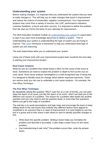#### **Understanding your system**

Before making changes, it is important that you understand the system that you want to make changes in. This will help you to make changes that result in improvement and reduce the chance of unintended, negative consequences. Your improvement projects may come from a variety of sources, the LOIP, performance indicators, customer feedback, a hunch and other sources. It is important to define the problem from the start as it forms the basis of your rationale for improvement.

The NHS Education Scotland module on [understanding your system](https://learn.nes.nhs.scot/8977/quality-improvement-zone/elearning/understanding-your-system) is a good place to start if you want more knowledge about how to define a system. Part of understanding your system is understanding the type of system you are trying to improve. This [video](http://cognitive-edge.com/videos/cynefin-framework-introduction/) introduces a framework to help you understand what type of system you are improving.

The tools listed below allow you to understand your system.

Using one of these tools with your improvement project team would be the next step in starting your improvement project.

#### **Root Cause Analysis**

What we see as a problem that needs fixing is often not the cause of the issue at hand. Sometimes we need to explore the problem in depth to find out the true (or root) cause. Root cause analysis investigation is a well-recognised way of doing this. It is designed to identify areas for change which deliver improved outcomes. There are various tools you can use to undertake a root cause analysis – for example, the Five Whys Technique.

#### **The Five Whys Technique**

By repeatedly asking the question 'Why?' (use five as a rule of thumb), you can peel away the layers of an issue, just like the layers of an onion, which can lead you to the different root causes of a problem. The reason for a problem often leads into another question and you may need to ask the question fewer or more than five questions before you get to the origin of a problem.

The real key is to avoid assumptions and logic traps and encourage the team to keep drilling down to the real issues that underlie why different factors have aligned to contribute to an outcome that is in need of improvement! It is most helpful to use this tool in a group and to then share it with others to start to identify possible changes to test.

- Write down the specific problem. Writing it down helps you formalise the problem and describe it accurately. It also helps a team focus on the same problem;
- Use brainstorming to ask 'why?' the problem occurs then, write the answer down;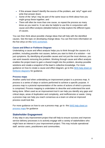- If this answer doesn't identify the source of the problem, ask 'why?' again and write that answer down;
- Some of the 'whys' may be part of the same issue so think about how you might group these together; and
- There will often be more than one cause, so repeat the process as many times as you need to. It can also be helpful to use this in conjunction with cause and effect analysis (detailed below) to help explore the different types of causes.

You can then think about possible change ideas that will help with the identified causes. See the topic on developing change ideas.You can find more information on the five whys on this [NHS worksheet.](https://learn.nes.nhs.scot/4791/quality-improvement-zone/qi-tools/5-whys)

#### **Cause and Effect or Fishbone Diagram**

Undertaking a cause and effect analysis helps you to think through the causes of a problem, including possible root causes, before you start to think of a solution – not just symptoms. By identifying all possible causes and not just the most obvious, you can work towards removing the problem. Working through cause and effect analysis enables the project team to gain a shared insight into the problem, develop possible solutions and create a snapshot of the team's collective knowledge. For more guidance on how to create a cause and effect diagram, go to this NHS help sheet on [fishbone diagrams](https://improvement.nhs.uk/documents/2093/cause-effect-fishbone.pdf) for guidance.

#### **Process maps**

Another useful tool when undertaking an improvement project is a process map. A process is a series of steps or actions performed to achieve a specific purpose. A process map is a pictorial representation of the series of actions of which a process is comprised. Process mapping is undertaken to describe and understand the work being done. When used as an improvement tool it can help you identify any gaps and critical steps, areas of duplication and complexity, and inefficiencies or waste. Using a process map can help you reach consensus as a team on what an improved process could look like.

For more guidance on how to use a process map, go to this NHS help sheet on [process maps](https://improvement.nhs.uk/documents/2143/conventional-process-mapping.pdf) for guidance

#### **Stakeholder Engagement**

A key step in any improvement project that will help to ensure success and improve service delivery processes is to actively engage with a variety of stakeholders who might have an interest in your improvement project. This may include operational staff, service users, practitioners and communities.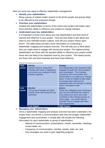Here are some key steps to effective stakeholder management:

#### • **Identify your stakeholders**

Bring a group of subject matter experts to list all the people and groups likely to be affected by the proposed change;

• **Prioritise your stakeholders**

Analyse the stakeholders in terms of the extent your project will impact upon them and their ability to influence your project or change initiative;

#### • **Understand your key stakeholders**

It is important to know more about your key stakeholders and their level of interest and influence in your project. How are they likely to feel about and react to your intended project outputs; how will your project impact upon them? The table below provides some information on conducting a stakeholder mapping and analysis exercise. This will help you to think about who you might need to engage with during your project. The highest priority stakeholders are those with the greatest ability to influence your project and/or those who are likely to be impacted most by your project. The lowest priority are those who are least impacted and have least influence.

#### **FIGURE 3: STAKEHOLDER MAPPING**

| <b>High</b><br>power | <b>Satisfy</b><br>Opinion formers. Keep them<br>satisfied with what is happening<br>and review your analysis of their<br>position regularly. | <b>Engage</b><br>Key stakeholders who should be fully<br>engaged through full communication<br>and consultation. This includes<br>customers and communities who<br>should help to co-create your change<br>ideas. It may be helpful to take steps<br>to increase their influence by<br>organising them into groups or taking<br>active consultative work. |
|----------------------|----------------------------------------------------------------------------------------------------------------------------------------------|-----------------------------------------------------------------------------------------------------------------------------------------------------------------------------------------------------------------------------------------------------------------------------------------------------------------------------------------------------------|
| Low<br>power         | <b>Monitor</b><br>This group of people are lower<br>priority if time and resources are<br>stretched.                                         | <b>Inform</b><br>These are colleagues and customers<br>who are less influential but need to<br>know about your work and could<br>contribute to the change process at<br>some stage. You would need to<br>consider how to engage with them<br>when appropriate.                                                                                            |
|                      | Low impact                                                                                                                                   | <b>High impact</b>                                                                                                                                                                                                                                                                                                                                        |

#### • **Managing your stakeholders**

Once a stakeholder mapping and analysis exercise has been undertaken, the project team can devise a communications plan that encourages stakeholder engagement and commitment. A simple plan will include the following information for each stakeholder or group of stakeholders:

- Method of communication: presentations, emails, newsletter, meetings, social media, etc;
- Frequency of communication: monthly, weekly, daily, etc; and
- Key messages you want to give regarding progress.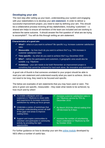#### **Developing your aim**

The next step after setting up your team, understanding your system and engaging with your stakeholders is to develop your **aim statement**. In order to deliver a successful improvement project, you need to start by defining your aim. This should be a collaborative process involving all key stakeholders, including 'customers' – a shared aim helps to ensure all members of the team are included and are working to achieve the same outcome. It should answer the first question of 'what are we trying to accomplish?'. You will do this through writing an aim statement.

#### **Characteristics of a good aim**

- $\checkmark$  What? what is it you want to achieve? Be specific! e.g. Increase customer satisfaction rates
- $\checkmark$  **Measurable** by how much do you want to achieve this? e.g. 75% increase in customer satisfaction rates
- $\checkmark$  **Time specific** by when do you want to achieve this? e.g. December 2019
- $\checkmark$  Who? define the participants and customers. A geographic area would also be suitable. e.g. Tillydrone
- $\checkmark$  Ambitious your aim needs to be bold! Remember an improvement project is something that cannot be achieved by hard work alone. Be innovative and aspirational

A good rule of thumb is that someone unrelated to your project should be able to read your aim statement and understand exactly what you want to achieve. Aims do not need to be long, they need to be focused and specific.

The below are examples of aim statements that you may have used or seen. The aims in green are specific, measurable – they state what needs to be achieved, by how much and by when!

| X To enable colleagues and our<br>customers in Tillydrone to share skills<br>and experience to increase customers<br>satisfaction by setting up focus groups. | Increase customer satisfaction rates in<br>our Tillydrone service by 75% by<br>December 2019.                 |
|---------------------------------------------------------------------------------------------------------------------------------------------------------------|---------------------------------------------------------------------------------------------------------------|
| X Undertake a series of workshops that<br>develops understanding across all staff<br>of the gaps and areas to improve<br>waiting times.                       | By March 2019 the referral waiting time<br>will decrease by 8 days.                                           |
| X Support and inspire communities to<br>volunteer and participate in community<br>activity by providing the right<br>opportunities                            | $\checkmark$ Increase the number of volunteering<br>hours undertaken in Tillydrone by 500<br>by October 2018. |

For further guidance on how to develop your aim this [online module](https://learn.nes.nhs.scot/13680/quality-improvement-zone/elearning/developing-your-aims-and-change-ideas) developed by NES offers a number of useful tips.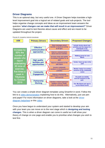#### **Driver Diagrams**

This is an optional step, but very useful one. A Driver Diagram helps translate a highlevel improvement goal into a logical set of related goals and sub-projects. The tool helps organise change concepts and ideas as an improvement team answers the question *'what changes can we make that will result in an improvement?'* Driver Diagrams are used to test theories about cause and effect and are meant to be updated throughout the project.



You can create a simple driver diagram template using SmartArt in word. Follow the link to a [video demonstration](https://www.youtube.com/watch?v=IuCb-nZ4K44) explaining how to do this. Alternatively, just use pen and paper! For more information on driver diagrams, take a look at the [driver](https://communityplanningaberdeen.org.uk/wp-content/uploads/2017/06/CPA-Help-Sheet-2-Driver-Diagrams.docx)  [diagram helpsheet](https://communityplanningaberdeen.org.uk/wp-content/uploads/2017/06/CPA-Help-Sheet-2-Driver-Diagrams.docx) or this [video.](https://youtu.be/A2491BJcyXA)

Once you have begun to understand your system and started to develop your aim with your team you can move on to the next stage which is **designing and testing changes**. This is when a driver diagram can come in useful as it will show your theory of change on one page and enable you to prioritise what changes you wish to test first.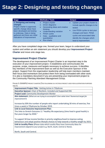## **Stage 2: Designing and testing changes**

| <b>Stage</b>                                                                                                                                                                                                                  | <b>Methods / Tools</b>                                                                                                                                                                                                                                                         | <b>Output</b>                                                                                                                                                                                                              |
|-------------------------------------------------------------------------------------------------------------------------------------------------------------------------------------------------------------------------------|--------------------------------------------------------------------------------------------------------------------------------------------------------------------------------------------------------------------------------------------------------------------------------|----------------------------------------------------------------------------------------------------------------------------------------------------------------------------------------------------------------------------|
| 2. Designing and testing<br>changes<br>Project charter is approved,<br>specific change ideas have<br>been developed and testing<br>is underway. Data is being<br>gathered and there are initial<br>indications of improvement | Project charter<br><b>Driver diagrams</b><br>Generating ideas and creative<br>$\bullet$<br>thinking<br><b>Understanding variation</b><br>$\bullet$<br><b>PDSA</b> cycles<br>$\bullet$<br>Data - qualitative and<br>$\bullet$<br>quantitative<br><b>Run charts</b><br>$\bullet$ | Update your project charter to<br>include specific changes to be<br>tested.<br>Use PDSA cycles to test your<br>changes and learn. PDSA<br>cycles and associated data<br>identify the changes which<br>lead to improvement. |

After you have completed stage one, formed your team, begun to understand your system and written an aim statement you should develop your **Improvement Project Charter** and move onto stage two**.**

#### **Improvement Project Charter**

The development of an Improvement Project Charter is an important step in the execution of your improvement project. It establishes and communicates the purpose, scope, measures and targets necessary to achieve success. It identifies key members of the improvement team as well as the Executive Sponsor of the project. Support from the organisation leadership will help team members maintain their focus and momentum and protect them from being overloaded with other work. It is also a mandatory document if you are presenting your improvement project to the Community Planning Aberdeen Management Group.

**FIGURE 5: EXAMPLE PROJECT CHARTER (THE FOLLOWING IS A FICTIOUS PROJECT USED FOR ILLUSTRATION PURPOSES ONLY!)**

**Improvement Project Title:** Getting Active in Tillydrone

**Executive Sponsor:** Chair of Resilient, Included and Supported OIG

**Project Lead:** Community Development Worker

**Aim statement:** *(What are we trying to accomplish? Over what time? Numerical target for improvement?)*

Increase by 50% the number of people who report undertaking 30 mins of exercise, five times a week in Tillydrone by October 2019.

**Link to Local Outcome Improvement Plan:**

This links to Stretch Outcome 11 "Healthy life expectancy (time lived in good health) is five years longer by 2026."

To support 50 low income families in priority neighbourhood to improve eating behaviours and adopt positive lifestyle choices to help towards a healthy weight by 2023. **Link to Locality Plans: (**Please state which Locality Plans have Community Ideas for Improvement aligned to your project e.g. North, South, Central or None).

North, South and Central.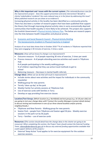**Why is this important and issues with the current system:** *(The rationale/business case for the improvement project: Does this support prevention and early intervention? Benefit to clients/ stakeholders/ residents? Are costs reduced now or in the future by addressing this issue? What published research can you draw on as evidence?)*

Increasing physical activity in the locality has been identified as a community priority. There has also been a number of research papers that have been published that support the theory that through improving physical activity rates in socio-economically deprived communities that health equality is more likely to be achieved. This project also supports the Scottish Government's [Physical Activity Delivery Plan.](https://www.gov.scot/binaries/content/documents/govscot/publications/publication/2018/07/active-scotland-delivery-plan/documents/00537494-pdf/00537494-pdf/govscot%3Adocument) The below are research papers into the links between health inequalities and physical activity.

- [Economic and Social Research Council -](https://esrc.ukri.org/news-events-and-publications/evidence-briefings/poorer-people-are-less-physically-active/) Physical Activity Briefing
- [The Socioeconomic Gradient in Physical Inactivity in England](http://www.bristol.ac.uk/media-library/sites/cmpo/migrated/documents/wp311.pdf)

Analysis of our local data shows that in October 2018 \*\*% of residents in Tillydrone reported that they were engaging in 30 minutes of exercise, 5 times a week.

**Measures:** *(How will we know if a change is an improvement?)*

- Outcome measure % of people reporting 30 mins of exercise, 5 times per week
- Process measure # of people attending exercise activities each week in Tillydrone Hub

# of people participating in the weekly walking groups

% of children reporting that they use active travel methods to get to school

• Balancing measure – Decrease in mental health referrals

**Change ideas:** *(What can we do that will result in improvement?)*

- Include stories about new activities and the impact for individuals in the community newsletter
- Walking group for new parents
- Termly 'clean up day' at the park
- Weekly Family Fun activity sessions at Tillydrone Hub
- Use of exercise cards with families in Torry
- Develop an app providing free exercise classes

**Location/Test Group:** *(Which location (e.g. Northfield) and test group (e.g. 16-18 year olds) are you going to test your change ideas with? Contact the Locality Managers (contact details below) to discuss testing and involvement in one of our three shared localities and/or priority neighbourhoods.)*

- Tillydrone and New Parents Walking group for new parents
- Seaton Park people from Tillydrone and Seaton aged 50 plus Weekly exercise sessions in the park run by S6 pupils
- Torry families use of exercise cards

**Resources: (***This section should detail how the change ideas in the charter are going to be resourced. When completing this section, the Project Team should contact the External Funding Team, [stbews@aberdeencity.gov.uk](mailto:stbews@aberdeencity.gov.uk) to discuss any external funding opportunities available that could support delivery of the project.)*

• External 'Keep Active' Fund applies to for exercise equipment for the outdoor exercise sessions.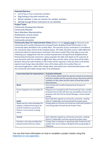#### **Potential Barriers:**

- Lack of buy in from community members
- Dog fouling in the park restricts use
- Winter weather is seen as a barrier for outdoor activities
- Getting enough fitness instructors to run activities

#### **Project Team:**

Community Development Worker Community Member Sport Aberdeen Representative Headteacher at local school Parent from local school Community connector

**Community Ideas for Improvement Status** *(Please see the [process map](https://communityplanningaberdeen.org.uk/wp-content/uploads/2021/08/3.1.1-Process-Map-for-Charters-with-Community-Ideas-Identified.pdf) for the process for connecting with Locality Empowerment Groups/Priority Neighbourhood Partnerships on the community ideas identified in the Locality Plans. The outcome of your connections is recorded at the community ideas section of the template below. This table should be used to reflect all of the community ideas for improvement contained in the three Locality Plans that align to your aim. Following your engagement with the Locality Empowerment Groups/Priority Neighbourhood Partnerships/Community Connectors, please populate the table with detail on the outcome of your discussion with the Localities on all of their ideas and the status of how they will be taken forward. Discussion with localities on their ideas will be required in order for these to be further explored and change ideas identified. Some of the ideas within the Locality Plans are outcomes/suggestions, rather than change ideas, from which your connection/discussions with the community will enable change ideas to be developed.)*

| <b>Community Ideas for Improvement</b> | <b>Evaluation Rationale</b>                                     |
|----------------------------------------|-----------------------------------------------------------------|
|                                        | In this section, please detail the agreed method of involvement |
|                                        | with the Localities and the outcome of your discussion with the |
|                                        | Localities on their ideas and the status of how they will be    |
|                                        | taken forward.                                                  |
| <b>North</b>                           | Focus Group with Locality Empowerment Group on 4                |
|                                        | September.                                                      |
| Ensure playparks are accessible for    | Playparks are managed by ACC Environmental Team. Locality       |
| all.                                   | Empowerment Group will raise any accessibility concerns for     |
|                                        | playparks with the Environmental Manager, contact details       |
|                                        | shared.                                                         |
|                                        | Sport Aberdeen agreed as community connector, meeting           |
| South                                  | held on 5 September and have joined the project team.           |
| Adapt exercise cards developed for     | Change ideas to test the use of exercise cards with families in |
| people in sheltered housing to be      | Torry being taken forward by the Project Team.                  |
| used for families to ensure that       |                                                                 |
| finance is not a barrier to being      |                                                                 |
| active.                                |                                                                 |
|                                        |                                                                 |
| <b>Central</b>                         | Sport Aberdeen agreed as community connector, meeting           |
|                                        | held on 5 September and have joined the project team.           |
| Develop a new app providing free       | Change ideas to develop an app being taken froward by the       |
| physical activity exercise classes     | project team and is being co-designed with young people in      |
|                                        | Tillydrone.                                                     |

You can find more information on how to complete a project charter using this helpsheet [\(or see appendix\).](https://communityplanningaberdeen.org.uk/innovate-and-improve/resources/)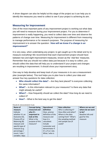A driver diagram can also be helpful at this stage of the project as it can help you to identify the measures you need to collect to see if your project is achieving its aim.

#### **Measuring for Improvement**

One of the most important parts of any improvement project is working out what data you will need to measure during your improvement project. For you to determine if improvement is really happening, you need to collect data over time and observe the patterns of change over time. Measuring for improvement is different from measuring to manage performance or for research purposes. The purpose of measuring for improvement is to answer the question: '*How will we know if a change is an improvement?'* 

It is very easy, when undertaking any project, to get caught up in the detail and try to measure everything! We recommend that each improvement project should have between two and eight improvement measures, known as the 'vital few' measures. Remember that you should not collect data just because it is easy to collect, you should collect the data that will help you to understand if your project and changes are resulting in improvement. It should show your improvement story.

One way to help develop and keep track of your measures is to use a measurement plan (example below). This tool helps you to plan how to collect your data and answer four key questions for data collection:

- **Who should collect the data?** Are they best placed? Is everyone collecting the same information?
- **What?** Is this information relevant to your measures? Is there any data that might already be useful?
- **When?** How frequently should we collect the data? How long do we need to collect it?
- **How?** What is the best way to get the data?

| <b>Name of</b>  | <b>Concept being</b> | <b>Operational</b> | <b>Data collection</b> | Where are we and  |
|-----------------|----------------------|--------------------|------------------------|-------------------|
| measure         | measured and         | definition         | Who is collecting it?  | where do we want  |
| Indicate        | why it's             | Clear, precise     | How often and when?    | to be?            |
| whether it's an | important to         | definition of the  | Where is the data      | Baseline info and |
| Outcome (O),    | look at this         | measure and        | coming from? What's    | goal for this     |
| Process (P) or  | What is the          | how it is          | the sampling method    | measure           |
| Balancing (B)   | purpose of this      | calculated.        | and sample size (if    |                   |
| measure and     | measure?             | Include            | used)?                 |                   |
| specify type of |                      | numerator and      |                        |                   |
| measure (e.g.   |                      | denominator if     |                        |                   |
| percentage /    |                      | it's a % or rate.  |                        |                   |
| count / rate /  |                      | What / who is      |                        |                   |
| variable / days |                      |                    |                        |                   |

**FIGURE 6: MEASUREMENT PLAN**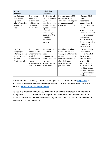| or cases<br>between).                                                                                   |                                                                                                                                 | included or<br>excluded?                                                                                                                                                                         |                                                                                                                                                                                     |                                                                                                                                                                                                                                                                       |
|---------------------------------------------------------------------------------------------------------|---------------------------------------------------------------------------------------------------------------------------------|--------------------------------------------------------------------------------------------------------------------------------------------------------------------------------------------------|-------------------------------------------------------------------------------------------------------------------------------------------------------------------------------------|-----------------------------------------------------------------------------------------------------------------------------------------------------------------------------------------------------------------------------------------------------------------------|
| e.g. Outcome<br>% of people<br>reporting 30<br>mins of exercise,<br>5 times per<br>week                 | This measure<br>will enable us<br>to see if local<br>residents are<br>becoming<br>more active                                   | $% =$ Number of<br>people reporting<br>30 mins of<br>exercise, 5 times<br>a week divided<br>by total number<br>of people<br>completing the<br>question in the<br>monthly<br>household<br>survey. | Monthly survey of 50<br>households in the<br>Tillydrone area (as part<br>of wider community<br>data collection process).                                                            | 1 October 2018 =<br>$10\%$ of<br>respondents<br>reported exercise<br>30 mins, five times<br>a week.<br>$Aim =$ Increase by<br>50% the number of<br>people who report<br>undertaking 30<br>mins of exercise,<br>five times a week in<br>Tillydrone by<br>October 2019. |
| e.g. Process<br># of people<br>attending fitness<br>activities each<br>week in<br><b>Tillydrone Hub</b> | This measure<br>will help us to<br>understand the<br>level of<br>attendance at<br>fitness<br>activities in the<br>Hub each week | $#$ = Number of<br>individual<br>people<br>attending the<br>fitness activities<br>held at<br><b>Tillydrone Hub</b><br>every week.                                                                | Individual attendance<br>records are collated<br>weekly on a Monday to<br>provide the number of<br>individuals who have<br>attended fitness<br>activities for the<br>previous week. | 1 October 2018 =<br>40 individual<br>people attended<br>classes over the<br>previous week.<br>$Aim = By 31$<br>December 2018 a<br>minimum of 70<br>individual people<br>will attend classes<br>every week at the<br>Tillydrone Hub.                                   |

Further details on creating a measurement plan can be found on this [help sheet.](https://communityplanningaberdeen.org.uk/useful-links/cpa-help-sheet-4-measurement-plan/) If you want more information on creating measures, please complete the module from NES on [measurement for improvement.](https://learn.nes.nhs.scot/3870/quality-improvement-zone/elearning)

To use this data meaningfully you will need to be able to interpret it. One method of doing this is to use a run chart. It is important to remember that effective use of run charts requires data to be collected on a regular basis. Run charts are explained in a later section of this handbook.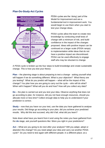#### **Plan-Do-Study-Act Cycles**



PDSA cycles are the 'doing' part of the Model for Improvement and are a fundamental tool in improvement work. You would begin to use them when you start to test your change ideas.

PDSA cycles allow the team to create new knowledge by conducting small tests of change with a minimum of risk, and build confidence in the impact of the changes proposed. Ideas with positive impact can be continued on a larger scale (PDSA ramps) to implementation while ideas that do not have a positive impact are discontinued. PDSA can be used effectively to engage staff who may be reluctant to change.

A PDSA cycle is broken up into four steps to build knowledge and create sustainable change. This is how you test your theory:

**Plan** – the planning stage is about preparing to test a change - asking yourself what will happen if we do something different. What is your objective? What theory are you testing? What do you predict will happen – what will be the impact of this change? You plan how you are going to carry out the cycle – who will do what? When will it happen? What will you do and how? How will you collect any data?

**Do** – the plan is carried out and you test your idea. Observe anything that does not go according to plan, for instance, did you not have enough resources, should you allocate more or less time? Collect enough data to help you to understand if your prediction is correct.

**Study** – now that you have run your test, use the data you have gathered to analyse your results. Did things go according to your plan, did you achieve your predicted results. Why did this test succeed, why did it fail, what did you learn?

Note down what have you learnt from it and using the notes you have gathered from the **do** stage, ask yourself questions like: Were you right in your predictions?

**Act** – What are you going to do next after your analysis? Will you adapt, adopt or abandon this change? Do you need adapt your idea and carry out another PDSA cycle? Do you need to test again with different people; in a different place; at a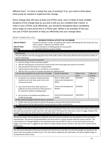different time? Is it time to adopt this way of working? If so, you need to think about what would be needed to implement this change.

Every change idea will have at least one PDSA cycle, and it is likely to have multiple iterations of the change idea as you test it until you are confident that it works. In order to use a PDSA cycle effectively, you should be disciplined about completing every stage of it and record this in a PDSA plan. Below is an example of how you can use a PDSA document to help you effectively test your change ideas.

**FIGURE 7: EXAMPLE PDSA CYCLE**

|                                                                                                                                                                                                                                    | <b>INCREASE PHYSICAL ACTIVITY IN TILLYDRONE</b> |            |          |  |
|------------------------------------------------------------------------------------------------------------------------------------------------------------------------------------------------------------------------------------|-------------------------------------------------|------------|----------|--|
| Increase by 50% the number of people by who report undertaking 30 mins of exercise, five<br><b>AIM OF PROJECT</b>                                                                                                                  |                                                 |            |          |  |
| times a week in Tillydrone by October 2019                                                                                                                                                                                         |                                                 |            |          |  |
| Increase attendance at walking group for new parents<br>AIM OF PDSA                                                                                                                                                                |                                                 |            |          |  |
| 2 - we tested with four parents initially.<br>PDSA No.                                                                                                                                                                             |                                                 |            |          |  |
| <b>PLAN</b>                                                                                                                                                                                                                        |                                                 |            |          |  |
| Describe test                                                                                                                                                                                                                      |                                                 |            |          |  |
| The test will be to see if by changing the time of the walk to after school drop off time will increase the number of                                                                                                              |                                                 |            |          |  |
| parents attending.                                                                                                                                                                                                                 |                                                 |            |          |  |
| What questions do we want answered?                                                                                                                                                                                                |                                                 |            |          |  |
| Has the change of time increased uptake?                                                                                                                                                                                           |                                                 |            |          |  |
| Will the starting point at the primary school at that time encourage more parents to attend?                                                                                                                                       |                                                 |            |          |  |
| Did participants feel better for having walked?                                                                                                                                                                                    |                                                 |            |          |  |
| Capture general observations, comments, and anecdotes.                                                                                                                                                                             |                                                 |            |          |  |
| Will we reach our goal of 6 people attending the walking group?                                                                                                                                                                    |                                                 |            |          |  |
| List the tasks needed to set up this test of change?                                                                                                                                                                               | Person responsible                              | When to be | Where to |  |
|                                                                                                                                                                                                                                    |                                                 | done       | be done  |  |
| Put posters up in primary school and other                                                                                                                                                                                         | Mum 1, Walk Leader,                             | 8/3/2019   | Primary  |  |
| locations (e.g. local shop, sport centre and                                                                                                                                                                                       | <b>Community Development</b>                    |            | School   |  |
| community centre)                                                                                                                                                                                                                  | Officer                                         |            |          |  |
| Gain commitment from other parents to                                                                                                                                                                                              | <b>Community Development</b>                    | 8/3/2019   |          |  |
| publicise by word of mouth at other groups to                                                                                                                                                                                      | Worker                                          |            |          |  |
| be involved in bedtime reading project                                                                                                                                                                                             |                                                 |            |          |  |
|                                                                                                                                                                                                                                    |                                                 |            |          |  |
| Set up event on Facebook and publicise on                                                                                                                                                                                          | <b>Community Development</b>                    | 28/2/2019  |          |  |
| locality group page                                                                                                                                                                                                                | worker                                          |            |          |  |
| Predict what will happen when the test is carried out                                                                                                                                                                              |                                                 |            |          |  |
| Predict that two more parents will join the group as will see other parents from school.                                                                                                                                           |                                                 |            |          |  |
| Other parents will be interested but cannot join due to other commitments.                                                                                                                                                         |                                                 |            |          |  |
| <b>DO</b>                                                                                                                                                                                                                          |                                                 |            |          |  |
| The change of time had an impact and four new mums participated. There was more interest from others at the school                                                                                                                 |                                                 |            |          |  |
| who said they would like to join next time. The route wasn't the easiest for those with a pram or buggy. However the                                                                                                               |                                                 |            |          |  |
| weather meant that two of the previous participants didn't join due to risk of rain.                                                                                                                                               |                                                 |            |          |  |
| <b>STUDY</b>                                                                                                                                                                                                                       |                                                 |            |          |  |
| The test succeeded. We exceeded our prediction and other parents wanted to join but publicity of the walk hadn't                                                                                                                   |                                                 |            |          |  |
| reached them. The parents all reported better and more active in a group situation with low impact exercise. The                                                                                                                   |                                                 |            |          |  |
| route needs to be changed slightly as the pavements were not very flat in areas so it was hard to get prams and<br>buggy's over tree roots. A suggestion was made to include another primary school on the way from a parent whose |                                                 |            |          |  |
| child attends.                                                                                                                                                                                                                     |                                                 |            |          |  |
| <b>ACT</b>                                                                                                                                                                                                                         |                                                 |            |          |  |
| The next cycle will build on the lessons learned from the first two, that after an event that people are already out for                                                                                                           |                                                 |            |          |  |

means that more people are likely to join. The route will be adapted by the walk leader and will be slightly longer to incorporate the other school.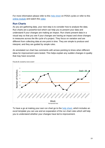For more information please refer to this [help sheet](https://communityplanningaberdeen.org.uk/wp-content/uploads/2017/06/CPA-Help-Sheet-3-PDSA.docx) on PDSA cycles or refer to this [online module](https://learn.nes.nhs.scot/15166/quality-improvement-zone/elearning/testing-your-change-ideas) and watch this [video](https://vimeo.com/545873556/091c999fe1)

#### **Run Charts**

As you are gathering data, your next step is to consider how to analyse the data. Run charts are a powerful tool which can help you to present your data and understand if your changes are making an impact. Run charts present data in a visual way so that you see if your changes are having an impact and show changes in measures across the life cycle of a project. They focus on variation and are different from collecting data at one point in time. They are simple to produce and interpret, and they are guided by simple rules.

An annotated run chart has comments with arrows pointing to times when different ideas for improvement were tested. This helps explain any sudden changes in quality that may have occurred.



**FIGURE 8: EXAMPLE RUN CHART**

To have a go at making your own run chart go to the [help sheet,](https://communityplanningaberdeen.org.uk/useful-links/cpa-help-sheet-5-annotated-run-chart-2/) which includes an excel template you can use and an expanation of the run chart rules which will help you to understand whether your changes have led to improvement.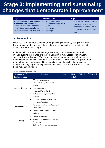## **Stage 3: Implementing and sustainaing changes that demonstrate improvement**

| <b>Stage</b>                                                                                                                                                                 | <b>Methods / Tools</b>                                                                                                 | Output                                                                                                                                                         |
|------------------------------------------------------------------------------------------------------------------------------------------------------------------------------|------------------------------------------------------------------------------------------------------------------------|----------------------------------------------------------------------------------------------------------------------------------------------------------------|
| 3. Implement and sustain changes<br>that demonstrate improvement<br>Evidence of improvements shown<br>in project measures. Spread plans<br>are being developed and deployed. | Use PDSA cycles to<br>implement changes which<br>lead to improvement<br><b>Run charts</b><br>Spread plans<br>$\bullet$ | Formalised procedure in place to<br>$\bullet$<br>ensure the improvement is<br>embedded into routine practice<br>and sustained with governance<br>arrangements. |

#### **Implementation**

When you have gathered evidence (through testing changes by using PDSA cycles) that your change idea achieves the results you are aiming for, it is time to consider how to implement this change.

Implementation is a permanent change to the way work is done and, as such, involves building the change into the organisation. It may affect documentation, written policies, training etc. There are a variety of approaches to implementation depending on the complexity and the risks involved. A PDSA cycle is required for all approaches, these cycles would take more time than the cycles that took place during the testing stages. An implentation plan would be a useful tool for you plan these implentation stages.

| <b>Component of</b>    | <b>Consider</b>                                                                                                                                                                                               | <b>Lead</b> | <b>PDSA</b> | <b>Objective of PDSA cycle</b> |
|------------------------|---------------------------------------------------------------------------------------------------------------------------------------------------------------------------------------------------------------|-------------|-------------|--------------------------------|
| <b>Implementation</b>  |                                                                                                                                                                                                               |             | Cycle #     |                                |
| <b>Standardisation</b> | Map the new process<br>$\bullet$<br>Standardise key steps in the<br>$\bullet$<br>process<br>Clarify individual<br>٠<br>responsibility/authority<br>Define some simple rules to guide<br>$\bullet$<br>practice |             |             |                                |
| <b>Documentation</b>   | Changes required to reflect the<br>$\bullet$<br>new way of working<br>Assign responsibility for keeping it<br>$\bullet$<br>up to date<br>Use for ongoing education and<br>٠<br>training                       |             |             |                                |
| <b>Training</b>        | Formal or informal<br>٠<br>Broader and more long-term than<br>$\bullet$<br>for testing<br>Link training to the service need<br>٠                                                                              |             |             |                                |

**FIGURE 9: IMPLEMENTATION PLAN**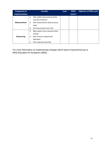| <b>Component of</b> | <b>Consider</b>                                                                                                                                     | <b>Lead</b> | <b>PDSA</b> | <b>Objective of PDSA cycle</b> |
|---------------------|-----------------------------------------------------------------------------------------------------------------------------------------------------|-------------|-------------|--------------------------------|
| Implementation      |                                                                                                                                                     |             | Cycle #     |                                |
| <b>Measurement</b>  | Plan visible measurement of key<br>$\bullet$<br>outcome measures<br>Plan measurement of key process<br>٠<br>steps<br>All measurement over time<br>٠ |             |             |                                |
| <b>Resourcing</b>   | May require more resources than<br>$\bullet$<br>testing<br>Plan resource request and<br>٠<br>allocation<br>Plan ongoing ownership                   |             |             |                                |

For more information on implementing changes which lead to improvement go to NHS Education for Scotland's (NES).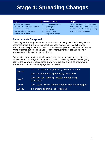## **Stage 4: Spreading Changes**

| <b>Stage</b>                  | <b>Methods / Tools</b> | Output                               |
|-------------------------------|------------------------|--------------------------------------|
| 4. Spreading changes          | Implementation plan    | The aim has been met or exceeded     |
| Changes have been implemented | Spread plan            | with changes being implemented as    |
| as business as usual.         | <b>Run charts</b>      | business as usual. Learning is being |
| Learning is being shared and  | Sustainability         | spread for others to adopt.          |
| spread to other areas.        | Large-scale change     |                                      |

#### **Requirements for spread**

Achieving breakthrough performance in any area of an organisation is a significant accomplishment. But a more important and often more complicated challenge remains: how to spread the success. This can be complex as it usually over multiple areas or teams, but spreading a successful improvement project and making it sustainable will depend on communication.

Communicating with with others to sustain and embed the change as business as usual can be a challenge and in order to do this successfully without people going back to the old ways of doing things a few key questions should be answered to ensure that your improvement project is successful.

| What? | What are essential ingredients/key components?              |  |  |
|-------|-------------------------------------------------------------|--|--|
|       | What adaptations are permitted/necessary?                   |  |  |
| How?  | What are your spread processes and reporting<br>structures? |  |  |
| Who?  | What scale? Which teams? What places? Which people?         |  |  |
| When? | Time frame and time line for spread                         |  |  |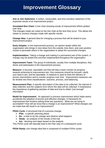## **Improvement Glossary**

**Aim or Aim Statement**: A written, measurable, and time-sensitive statement of the expected results of an improvement project.

**Annotated Run Chart:** A line chart showing results of improvement efforts plotted over time.

The changes made are noted on the line chart at the time they occur. This allows the viewer to connect changes made with specific results.

**Change Idea:** A general idea for changing a process that will be tested in your improvement project.

**Early Adopter:** In the improvement process, an opinion leader within the organisation who brings in new ideas from the outside, tries them, and uses positive results to persuade others in the organisation to adopt the successful changes.

**Implementation:** Taking a change and making it a permanent part of the system. A change may be tested first and then implemented throughout the organisation.

**Improvement Team:** The group of individuals, usually from multiple disciplines, that drives and participates in the improvement process.

**Measure:** A focused, reportable unit that will help a team monitor its progress towards achieving its improvement aim. Key measures should be focused, clarify your team's aim, and be reportable. A measure is used to track the delivery of proven interventions and to monitor progress over time. Improvement measures can be divided into three classifications: outcome, process, and balancing.

**Measurement Plan:** A specific description of the data to be collected, the interval of data collection and the subjects from whom the data will be collected. It emphasizes the importance of gathering samples of data and how to obtain "just enough" information

**Model for Improvement:** An approach to process improvement which helps teams accelerate the adoption of proven and effective changes. A framework for improvement that involves asking three key questions - What are we trying to accomplish? How will we know that a change is an improvement? What changes can we make that will result in an improvement?

**PDSA Cycle:** A structured trial of a process change:

- **Plan**  a specific planning phase
- **Do**  a time to try the change and observe what happens
- **Study**  an analysis of the results of the trial
- **Act**  devising next steps based on the analysis

This PDSA cycle will naturally lead to the Plan step of a subsequent cycle.

**PDSA Ramp:** one change idea that is composed of multiple PDSA cycles.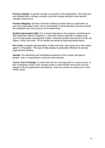**Process Change:** A specific change in a process in the organisation. More focused and detailed than a change concept, a process change describes what specific changes should occur.

**Process Mapping**: Activities involved in defining exactly what an organisation or part of an organisation does, who is responsible, to what standard a process should be completed and how success can be determined.

**Quality Improvement (QI):** QI is a formal approach to the analysis of performance and systematic efforts to improve it. There are various methods or models of QI such as total quality management (TQM), continuous quality improvement (CQI), Six Sigma, LEAN, and more. All QI models are aimed at improving performance.

**Run Chart:** A graphic representation of data over time, also known as a 'time series graph' or 'line graph'. This type of data display is particularly effective for process improvement activities.

**Spread:** The intentional and methodical expansion of the number and type of people, units, or organisations using the improvements.

**Test or Test of Change:** A small-scale trial of a new approach or a new process. A test is designed to learn if the change results in improvement and to fine-tune the change to fit the organisation and patients. Tests are carried out using one or more PDSA cycles.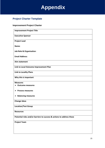

#### **Project Charter Template**

#### **Improvement Project Charter**

| <b>Improvement Project Title</b>                                      |
|-----------------------------------------------------------------------|
| <b>Executive Sponsor</b>                                              |
| <b>Project Lead</b>                                                   |
| Name:                                                                 |
| <b>Job Role &amp; Organisation:</b>                                   |
| <b>Email Address:</b>                                                 |
| Aim statement                                                         |
| Link to Local Outcome Improvement Plan                                |
| <b>Link to Locality Plans</b>                                         |
| Why this is important                                                 |
| <b>Measures</b>                                                       |
| <b>Outcome measures</b>                                               |
| <b>Process measures</b>                                               |
| <b>Balancing measures</b><br>$\bullet$                                |
| <b>Change ideas</b>                                                   |
| <b>Location/Test Group</b>                                            |
| <b>Resources</b>                                                      |
| Potential risks and/or barriers to success & actions to address these |
| <b>Project Team</b>                                                   |
|                                                                       |
|                                                                       |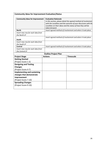| <b>Community Ideas for Improvement Evaluation/Status</b> |                             |                                                                 |  |  |
|----------------------------------------------------------|-----------------------------|-----------------------------------------------------------------|--|--|
| <b>Community Ideas for Improvement</b>                   | <b>Evaluation Rationale</b> |                                                                 |  |  |
|                                                          |                             | In this section, please detail the agreed method of involvemen  |  |  |
|                                                          |                             | with the Localities and the outcome of your discussion with the |  |  |
|                                                          |                             | Localities on their ideas and the status of how they will be    |  |  |
| <b>North</b>                                             | taken forward.              | Insert agreed method of involvement and when it took place.     |  |  |
| Insert new row for each idea from                        |                             |                                                                 |  |  |
| the North LP                                             |                             |                                                                 |  |  |
|                                                          |                             | Insert agreed method of involvement and when it took place.     |  |  |
| South                                                    |                             |                                                                 |  |  |
| Insert new row for each idea from                        |                             |                                                                 |  |  |
| the South LP                                             |                             |                                                                 |  |  |
| Central                                                  |                             | Insert agreed method of involvement and when it took place.     |  |  |
| Insert new row for each idea from                        |                             |                                                                 |  |  |
| the Central LP                                           |                             |                                                                 |  |  |
|                                                          | <b>Outline Project Plan</b> |                                                                 |  |  |
| <b>Project Stage</b>                                     | <b>Actions</b>              | <b>Timescale</b>                                                |  |  |
| <b>Getting Started</b>                                   |                             |                                                                 |  |  |
| (Project Score 1-3)                                      |                             |                                                                 |  |  |
| <b>Designing and Testing</b>                             |                             |                                                                 |  |  |
| <b>Changes</b>                                           |                             |                                                                 |  |  |
| (Project Score 4-7)                                      |                             |                                                                 |  |  |
| <b>Implementing and sustaining</b>                       |                             |                                                                 |  |  |
| changes that demonstrate                                 |                             |                                                                 |  |  |
| improvement                                              |                             |                                                                 |  |  |
| (Project Score 7-10)                                     |                             |                                                                 |  |  |
| <b>Spreading Changes</b>                                 |                             |                                                                 |  |  |
| (Project Score 9-10)                                     |                             |                                                                 |  |  |
|                                                          |                             |                                                                 |  |  |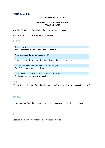#### **PDSA template**

#### **IMPROVEMENT PROJECT TITLE**

#### **OUTCOME IMPROVEMENT GROUP PDSA No.X, DATE**

| <b>AIM OF PROJECT</b><br>Overall aim of the improvement project |
|-----------------------------------------------------------------|
|-----------------------------------------------------------------|

**AIM OF PDSA** Specific aim of this PDSA

#### **PLAN**

| Describe test                                                          |
|------------------------------------------------------------------------|
| Person responsible? When to be done? Where?                            |
|                                                                        |
| What questions do we want answered?                                    |
| What measures do you have that will tell you if the test is a success? |
| List the tasks needed to set up this test of change?                   |
| Tasks? Personal responsible? Timescale?                                |
| Predict what will happen when the test is carried out                  |
| Predictions may be positive or negative                                |
|                                                                        |

#### **DO**

Was the test carried out? Describe what happened? Any problems or unexpected events?

#### **STUDY**

Lessons learned from the results? How do the results compare to the predictions?

#### **ACT**

Describe the modifications to the plan for the next cycle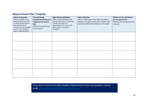#### **Measurement Plan Template**

| Name of measure<br>Indicate whether it's an<br>Outcome (O), Process (P)<br>or Balancing (B) measure<br>and specify type of<br>measure (e.g. percentage /<br>count / rate / variable /<br>days or cases between). | <b>Concept being</b><br>measured and why it's<br>important to look at<br>this<br>What is the purpose of<br>this measure? | <b>Operational definition</b><br>Clear, precise definition of the<br>measure and how it is calculated.<br>Include numerator and<br>denominator if it's a % or rate.<br>What / who is included or<br>excluded? | <b>Data collection</b><br>Who is collecting it? How often and when?<br>Where is the data coming from? What's the<br>sampling method and sample size (if used)? | Where are we and where<br>do we want to be?<br>Baseline info and goal for this<br>measure |
|------------------------------------------------------------------------------------------------------------------------------------------------------------------------------------------------------------------|--------------------------------------------------------------------------------------------------------------------------|---------------------------------------------------------------------------------------------------------------------------------------------------------------------------------------------------------------|----------------------------------------------------------------------------------------------------------------------------------------------------------------|-------------------------------------------------------------------------------------------|
|                                                                                                                                                                                                                  |                                                                                                                          |                                                                                                                                                                                                               |                                                                                                                                                                |                                                                                           |
|                                                                                                                                                                                                                  |                                                                                                                          |                                                                                                                                                                                                               |                                                                                                                                                                |                                                                                           |
|                                                                                                                                                                                                                  |                                                                                                                          |                                                                                                                                                                                                               |                                                                                                                                                                |                                                                                           |
|                                                                                                                                                                                                                  |                                                                                                                          |                                                                                                                                                                                                               |                                                                                                                                                                |                                                                                           |
|                                                                                                                                                                                                                  |                                                                                                                          |                                                                                                                                                                                                               |                                                                                                                                                                |                                                                                           |

If you want to know more about Quality Improvement or have any questions, please email [communityplanning@aberdeencity.gov.uk.](mailto:communityplanning@aberdeencity.gov.uk)